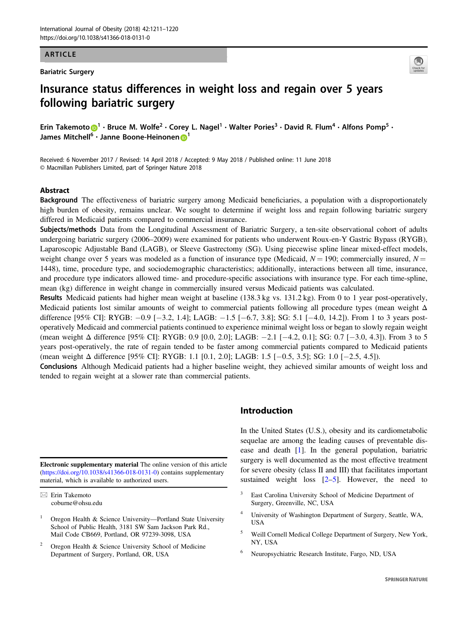#### ARTICLE

Bariatric Surgery



# Insurance status differences in weight loss and regain over 5 years following bariatric surgery

Erin Takem[o](http://orcid.org/0000-0001-7211-2704)to  $\bigcirc^1 \cdot$  $\bigcirc^1 \cdot$  $\bigcirc^1 \cdot$  Bruce M. Wolfe<sup>2</sup>  $\cdot$  Corey L. Nagel<sup>1</sup>  $\cdot$  Walter Pories<sup>3</sup>  $\cdot$  David R. Flum<sup>4</sup>  $\cdot$  Alfons Pomp<sup>5</sup>  $\cdot$ James Mitchell<sup>6</sup> · Janne Boone-Heinonen D<sup>[1](http://orcid.org/0000-0002-0368-0545)</sup>

Received: 6 November 2017 / Revised: 14 April 2018 / Accepted: 9 May 2018 / Published online: 11 June 2018 © Macmillan Publishers Limited, part of Springer Nature 2018

## Abstract

Background The effectiveness of bariatric surgery among Medicaid beneficiaries, a population with a disproportionately high burden of obesity, remains unclear. We sought to determine if weight loss and regain following bariatric surgery differed in Medicaid patients compared to commercial insurance.

Subjects/methods Data from the Longitudinal Assessment of Bariatric Surgery, a ten-site observational cohort of adults undergoing bariatric surgery (2006–2009) were examined for patients who underwent Roux-en-Y Gastric Bypass (RYGB), Laparoscopic Adjustable Band (LAGB), or Sleeve Gastrectomy (SG). Using piecewise spline linear mixed-effect models, weight change over 5 years was modeled as a function of insurance type (Medicaid,  $N = 190$ ; commercially insured,  $N =$ 1448), time, procedure type, and sociodemographic characteristics; additionally, interactions between all time, insurance, and procedure type indicators allowed time- and procedure-specific associations with insurance type. For each time-spline, mean (kg) difference in weight change in commercially insured versus Medicaid patients was calculated.

Results Medicaid patients had higher mean weight at baseline (138.3 kg vs. 131.2 kg). From 0 to 1 year post-operatively, Medicaid patients lost similar amounts of weight to commercial patients following all procedure types (mean weight  $\Delta$ difference [95% CI]: RYGB: −0.9 [−3.2, 1.4]; LAGB: −1.5 [−6.7, 3.8]; SG: 5.1 [−4.0, 14.2]). From 1 to 3 years postoperatively Medicaid and commercial patients continued to experience minimal weight loss or began to slowly regain weight (mean weight Δ difference [95% CI]: RYGB: 0.9 [0.0, 2.0]; LAGB: −2.1 [−4.2, 0.1]; SG: 0.7 [−3.0, 4.3]). From 3 to 5 years post-operatively, the rate of regain tended to be faster among commercial patients compared to Medicaid patients (mean weight Δ difference [95% CI]: RYGB: 1.1 [0.1, 2.0]; LAGB: 1.5 [−0.5, 3.5]; SG: 1.0 [−2.5, 4.5]).

Conclusions Although Medicaid patients had a higher baseline weight, they achieved similar amounts of weight loss and tended to regain weight at a slower rate than commercial patients.

Electronic supplementary material The online version of this article ([https://doi.org/10.1038/s41366-018-0131-0\)](https://doi.org/10.1038/s41366-018-0131-0) contains supplementary material, which is available to authorized users.

- <sup>1</sup> Oregon Health & Science University—Portland State University School of Public Health, 3181 SW Sam Jackson Park Rd., Mail Code CB669, Portland, OR 97239-3098, USA
- Oregon Health & Science University School of Medicine Department of Surgery, Portland, OR, USA

## Introduction

In the United States (U.S.), obesity and its cardiometabolic sequelae are among the leading causes of preventable disease and death [[1\]](#page-8-0). In the general population, bariatric surgery is well documented as the most effective treatment for severe obesity (class II and III) that facilitates important sustained weight loss  $[2-5]$  $[2-5]$  $[2-5]$  $[2-5]$ . However, the need to

- <sup>3</sup> East Carolina University School of Medicine Department of Surgery, Greenville, NC, USA
- <sup>4</sup> University of Washington Department of Surgery, Seattle, WA, USA
- <sup>5</sup> Weill Cornell Medical College Department of Surgery, New York, NY, USA
- <sup>6</sup> Neuropsychiatric Research Institute, Fargo, ND, USA

 $\boxtimes$  Erin Takemoto [coburne@ohsu.edu](mailto:coburne@ohsu.edu)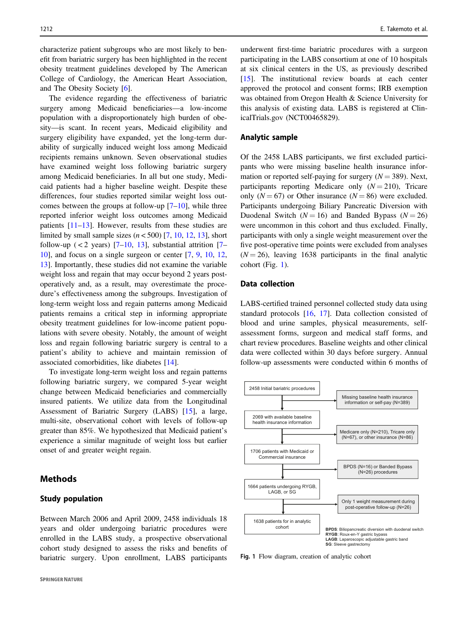characterize patient subgroups who are most likely to benefit from bariatric surgery has been highlighted in the recent obesity treatment guidelines developed by The American College of Cardiology, the American Heart Association, and The Obesity Society [[6\]](#page-8-0).

The evidence regarding the effectiveness of bariatric surgery among Medicaid beneficiaries—a low-income population with a disproportionately high burden of obesity—is scant. In recent years, Medicaid eligibility and surgery eligibility have expanded, yet the long-term durability of surgically induced weight loss among Medicaid recipients remains unknown. Seven observational studies have examined weight loss following bariatric surgery among Medicaid beneficiaries. In all but one study, Medicaid patients had a higher baseline weight. Despite these differences, four studies reported similar weight loss outcomes between the groups at follow-up  $[7-10]$  $[7-10]$  $[7-10]$  $[7-10]$ , while three reported inferior weight loss outcomes among Medicaid patients [\[11](#page-8-0)–[13](#page-8-0)]. However, results from these studies are limited by small sample sizes  $(n < 500)$  [\[7](#page-8-0), [10](#page-8-0), [12](#page-8-0), [13](#page-8-0)], short follow-up  $(< 2$  years)  $[7-10, 13]$  $[7-10, 13]$  $[7-10, 13]$  $[7-10, 13]$  $[7-10, 13]$  $[7-10, 13]$  $[7-10, 13]$ , substantial attrition  $[7 [7-$ [10\]](#page-8-0), and focus on a single surgeon or center [[7,](#page-8-0) [9,](#page-8-0) [10,](#page-8-0) [12,](#page-8-0) [13\]](#page-8-0). Importantly, these studies did not examine the variable weight loss and regain that may occur beyond 2 years postoperatively and, as a result, may overestimate the procedure's effectiveness among the subgroups. Investigation of long-term weight loss and regain patterns among Medicaid patients remains a critical step in informing appropriate obesity treatment guidelines for low-income patient populations with severe obesity. Notably, the amount of weight loss and regain following bariatric surgery is central to a patient's ability to achieve and maintain remission of associated comorbidities, like diabetes [[14\]](#page-8-0).

To investigate long-term weight loss and regain patterns following bariatric surgery, we compared 5-year weight change between Medicaid beneficiaries and commercially insured patients. We utilize data from the Longitudinal Assessment of Bariatric Surgery (LABS) [\[15](#page-8-0)], a large, multi-site, observational cohort with levels of follow-up greater than 85%. We hypothesized that Medicaid patient's experience a similar magnitude of weight loss but earlier onset of and greater weight regain.

## **Methods**

## Study population

Between March 2006 and April 2009, 2458 individuals 18 years and older undergoing bariatric procedures were enrolled in the LABS study, a prospective observational cohort study designed to assess the risks and benefits of bariatric surgery. Upon enrollment, LABS participants

underwent first-time bariatric procedures with a surgeon participating in the LABS consortium at one of 10 hospitals at six clinical centers in the US, as previously described [\[15](#page-8-0)]. The institutional review boards at each center approved the protocol and consent forms; IRB exemption was obtained from Oregon Health & Science University for this analysis of existing data. LABS is registered at ClinicalTrials.gov (NCT00465829).

#### Analytic sample

Of the 2458 LABS participants, we first excluded participants who were missing baseline health insurance information or reported self-paying for surgery  $(N = 389)$ . Next, participants reporting Medicare only  $(N = 210)$ , Tricare only  $(N = 67)$  or Other insurance  $(N = 86)$  were excluded. Participants undergoing Biliary Pancreatic Diversion with Duodenal Switch ( $N = 16$ ) and Banded Bypass ( $N = 26$ ) were uncommon in this cohort and thus excluded. Finally, participants with only a single weight measurement over the five post-operative time points were excluded from analyses  $(N = 26)$ , leaving 1638 participants in the final analytic cohort (Fig. 1).

## Data collection

LABS-certified trained personnel collected study data using standard protocols [\[16](#page-8-0), [17\]](#page-8-0). Data collection consisted of blood and urine samples, physical measurements, selfassessment forms, surgeon and medical staff forms, and chart review procedures. Baseline weights and other clinical data were collected within 30 days before surgery. Annual follow-up assessments were conducted within 6 months of



Fig. 1 Flow diagram, creation of analytic cohort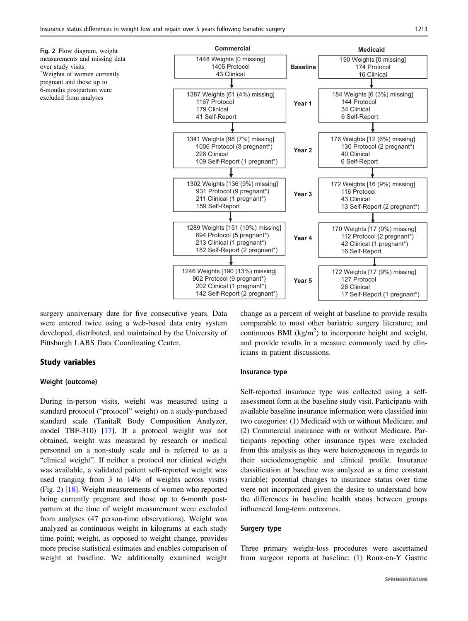measurements and missing data over study visits \* Weights of women currently pregnant and those up to 6-months postpartum were excluded from analyses

<span id="page-2-0"></span>

surgery anniversary date for five consecutive years. Data were entered twice using a web-based data entry system developed, distributed, and maintained by the University of Pittsburgh LABS Data Coordinating Center.

## Study variables

#### Weight (outcome)

During in-person visits, weight was measured using a standard protocol ("protocol" weight) on a study-purchased standard scale (TanitaR Body Composition Analyzer, model TBF-310) [[17\]](#page-8-0). If a protocol weight was not obtained, weight was measured by research or medical personnel on a non-study scale and is referred to as a "clinical weight". If neither a protocol nor clinical weight was available, a validated patient self-reported weight was used (ranging from 3 to 14% of weights across visits) (Fig. 2) [\[18](#page-8-0)]. Weight measurements of women who reported being currently pregnant and those up to 6-month postpartum at the time of weight measurement were excluded from analyses (47 person-time observations). Weight was analyzed as continuous weight in kilograms at each study time point; weight, as opposed to weight change, provides more precise statistical estimates and enables comparison of weight at baseline. We additionally examined weight

change as a percent of weight at baseline to provide results comparable to most other bariatric surgery literature; and continuous BMI ( $\text{kg/m}^2$ ) to incorporate height and weight, and provide results in a measure commonly used by clinicians in patient discussions.

#### Insurance type

Self-reported insurance type was collected using a selfassessment form at the baseline study visit. Participants with available baseline insurance information were classified into two categories: (1) Medicaid with or without Medicare; and (2) Commercial insurance with or without Medicare. Participants reporting other insurance types were excluded from this analysis as they were heterogeneous in regards to their sociodemographic and clinical profile. Insurance classification at baseline was analyzed as a time constant variable; potential changes to insurance status over time were not incorporated given the desire to understand how the differences in baseline health status between groups influenced long-term outcomes.

#### Surgery type

Three primary weight-loss procedures were ascertained from surgeon reports at baseline: (1) Roux-en-Y Gastric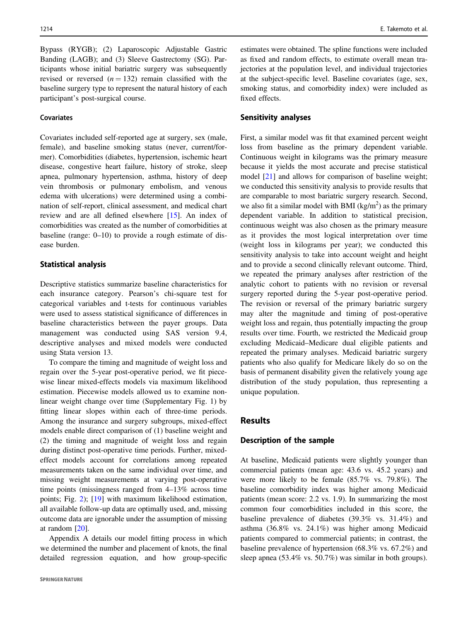Bypass (RYGB); (2) Laparoscopic Adjustable Gastric Banding (LAGB); and (3) Sleeve Gastrectomy (SG). Participants whose initial bariatric surgery was subsequently revised or reversed  $(n = 132)$  remain classified with the baseline surgery type to represent the natural history of each participant's post-surgical course.

## **Covariates**

Covariates included self-reported age at surgery, sex (male, female), and baseline smoking status (never, current/former). Comorbidities (diabetes, hypertension, ischemic heart disease, congestive heart failure, history of stroke, sleep apnea, pulmonary hypertension, asthma, history of deep vein thrombosis or pulmonary embolism, and venous edema with ulcerations) were determined using a combination of self-report, clinical assessment, and medical chart review and are all defined elsewhere [[15\]](#page-8-0). An index of comorbidities was created as the number of comorbidities at baseline (range: 0–10) to provide a rough estimate of disease burden.

## Statistical analysis

Descriptive statistics summarize baseline characteristics for each insurance category. Pearson's chi-square test for categorical variables and t-tests for continuous variables were used to assess statistical significance of differences in baseline characteristics between the payer groups. Data management was conducted using SAS version 9.4, descriptive analyses and mixed models were conducted using Stata version 13.

To compare the timing and magnitude of weight loss and regain over the 5-year post-operative period, we fit piecewise linear mixed-effects models via maximum likelihood estimation. Piecewise models allowed us to examine nonlinear weight change over time (Supplementary Fig. 1) by fitting linear slopes within each of three-time periods. Among the insurance and surgery subgroups, mixed-effect models enable direct comparison of (1) baseline weight and (2) the timing and magnitude of weight loss and regain during distinct post-operative time periods. Further, mixedeffect models account for correlations among repeated measurements taken on the same individual over time, and missing weight measurements at varying post-operative time points (missingness ranged from 4–13% across time points; Fig. [2](#page-2-0)); [\[19](#page-8-0)] with maximum likelihood estimation, all available follow-up data are optimally used, and, missing outcome data are ignorable under the assumption of missing at random [\[20](#page-8-0)].

Appendix A details our model fitting process in which we determined the number and placement of knots, the final detailed regression equation, and how group-specific estimates were obtained. The spline functions were included as fixed and random effects, to estimate overall mean trajectories at the population level, and individual trajectories at the subject-specific level. Baseline covariates (age, sex, smoking status, and comorbidity index) were included as fixed effects.

## Sensitivity analyses

First, a similar model was fit that examined percent weight loss from baseline as the primary dependent variable. Continuous weight in kilograms was the primary measure because it yields the most accurate and precise statistical model [[21\]](#page-9-0) and allows for comparison of baseline weight; we conducted this sensitivity analysis to provide results that are comparable to most bariatric surgery research. Second, we also fit a similar model with BMI  $(kg/m<sup>2</sup>)$  as the primary dependent variable. In addition to statistical precision, continuous weight was also chosen as the primary measure as it provides the most logical interpretation over time (weight loss in kilograms per year); we conducted this sensitivity analysis to take into account weight and height and to provide a second clinically relevant outcome. Third, we repeated the primary analyses after restriction of the analytic cohort to patients with no revision or reversal surgery reported during the 5-year post-operative period. The revision or reversal of the primary bariatric surgery may alter the magnitude and timing of post-operative weight loss and regain, thus potentially impacting the group results over time. Fourth, we restricted the Medicaid group excluding Medicaid–Medicare dual eligible patients and repeated the primary analyses. Medicaid bariatric surgery patients who also qualify for Medicare likely do so on the basis of permanent disability given the relatively young age distribution of the study population, thus representing a unique population.

## **Results**

## Description of the sample

At baseline, Medicaid patients were slightly younger than commercial patients (mean age: 43.6 vs. 45.2 years) and were more likely to be female (85.7% vs. 79.8%). The baseline comorbidity index was higher among Medicaid patients (mean score: 2.2 vs. 1.9). In summarizing the most common four comorbidities included in this score, the baseline prevalence of diabetes (39.3% vs. 31.4%) and asthma (36.8% vs. 24.1%) was higher among Medicaid patients compared to commercial patients; in contrast, the baseline prevalence of hypertension (68.3% vs. 67.2%) and sleep apnea (53.4% vs. 50.7%) was similar in both groups).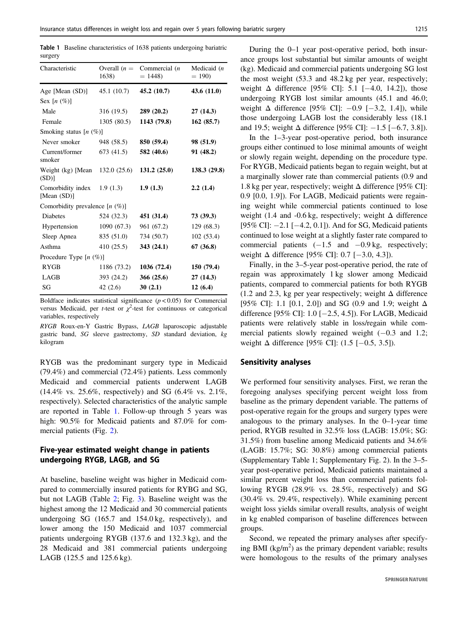Table 1 Baseline characteristics of 1638 patients undergoing bariatric surgery

| Characteristic                   | Overall $(n =$<br>1638) | Commercial $(n)$<br>$= 1448$ | Medicaid $(n)$<br>$= 190$ |
|----------------------------------|-------------------------|------------------------------|---------------------------|
| Age [Mean (SD)]                  | 45.1 (10.7)             | 45.2(10.7)                   | 43.6(11.0)                |
| Sex $[n \ (\%)]$                 |                         |                              |                           |
| Male                             | 316(19.5)               | 289(20.2)                    | 27(14.3)                  |
| Female                           | 1305(80.5)              | 1143 (79.8)                  | 162(85.7)                 |
| Smoking status $[n (\%)]$        |                         |                              |                           |
| Never smoker                     | 948 (58.5)              | 850 (59.4)                   | 98 (51.9)                 |
| Current/former<br>smoker         | 673 (41.5)              | 582 (40.6)                   | 91 (48.2)                 |
| Weight (kg) [Mean]<br>(SD)       | 132.0(25.6)             | 131.2(25.0)                  | 138.3(29.8)               |
| Comorbidity index<br>[Mean (SD)] | 1.9(1.3)                | 1.9(1.3)                     | 2.2(1.4)                  |
| Comorbidity prevalence $[n (%)]$ |                         |                              |                           |
| <b>Diabetes</b>                  | 524 (32.3)              | 451 (31.4)                   | 73(39.3)                  |
| Hypertension                     | 1090(67.3)              | 961 (67.2)                   | 129(68.3)                 |
| Sleep Apnea                      | 835 (51.0)              | 734 (50.7)                   | 102(53.4)                 |
| Asthma                           | 410(25.5)               | 343 (24.1)                   | 67(36.8)                  |
| Procedure Type [n (%)]           |                         |                              |                           |
| <b>RYGB</b>                      | 1186 (73.2)             | 1036(72.4)                   | 150(79.4)                 |
| LAGB                             | 393 (24.2)              | 366(25.6)                    | 27(14.3)                  |
| SG                               | 42 $(2.6)$              | 30(2.1)                      | 12(6.4)                   |

Boldface indicates statistical significance  $(p < 0.05)$  for Commercial versus Medicaid, per *t*-test or  $\chi^2$ -test for continuous or categorical variables respectively variables, respectively

RYGB Roux-en-Y Gastric Bypass, LAGB laparoscopic adjustable gastric band, SG sleeve gastrectomy, SD standard deviation, kg kilogram

RYGB was the predominant surgery type in Medicaid (79.4%) and commercial (72.4%) patients. Less commonly Medicaid and commercial patients underwent LAGB (14.4% vs. 25.6%, respectively) and SG (6.4% vs. 2.1%, respectively). Selected characteristics of the analytic sample are reported in Table 1. Follow-up through 5 years was high: 90.5% for Medicaid patients and 87.0% for commercial patients (Fig. [2](#page-2-0)).

## Five-year estimated weight change in patients undergoing RYGB, LAGB, and SG

At baseline, baseline weight was higher in Medicaid compared to commercially insured patients for RYBG and SG, but not LAGB (Table [2](#page-5-0); Fig. [3](#page-6-0)). Baseline weight was the highest among the 12 Medicaid and 30 commercial patients undergoing SG (165.7 and 154.0 kg, respectively), and lower among the 150 Medicaid and 1037 commercial patients undergoing RYGB (137.6 and 132.3 kg), and the 28 Medicaid and 381 commercial patients undergoing LAGB (125.5 and 125.6 kg).

During the 0–1 year post-operative period, both insurance groups lost substantial but similar amounts of weight (kg). Medicaid and commercial patients undergoing SG lost the most weight (53.3 and 48.2 kg per year, respectively; weight  $\Delta$  difference [95% CI]: 5.1 [−4.0, 14.2]), those undergoing RYGB lost similar amounts (45.1 and 46.0; weight  $\Delta$  difference [95% CI]:  $-0.9$  [ $-3.2$ , 1.4]), while those undergoing LAGB lost the considerably less (18.1 and 19.5; weight  $\Delta$  difference [95% CI]: −1.5 [−6.7, 3.8]).

In the 1–3-year post-operative period, both insurance groups either continued to lose minimal amounts of weight or slowly regain weight, depending on the procedure type. For RYGB, Medicaid patients began to regain weight, but at a marginally slower rate than commercial patients (0.9 and 1.8 kg per year, respectively; weight  $\Delta$  difference [95% CI]: 0.9 [0.0, 1.9]). For LAGB, Medicaid patients were regaining weight while commercial patients continued to lose weight (1.4 and -0.6 kg, respectively; weight  $\Delta$  difference [95% CI]: −2.1 [−4.2, 0.1]). And for SG, Medicaid patients continued to lose weight at a slightly faster rate compared to commercial patients  $(-1.5 \text{ and } -0.9 \text{ kg}$ , respectively; weight  $\Delta$  difference [95% CI]: 0.7 [-3.0, 4.3]).

Finally, in the 3–5-year post-operative period, the rate of regain was approximately 1 kg slower among Medicaid patients, compared to commercial patients for both RYGB (1.2 and 2.3, kg per year respectively; weight  $\Delta$  difference [95% CI]: 1.1 [0.1, 2.0]) and SG (0.9 and 1.9; weight Δ difference [95% CI]: 1.0 [−2.5, 4.5]). For LAGB, Medicaid patients were relatively stable in loss/regain while commercial patients slowly regained weight (−0.3 and 1.2; weight  $\Delta$  difference [95% CI]: (1.5 [-0.5, 3.5]).

#### Sensitivity analyses

We performed four sensitivity analyses. First, we reran the foregoing analyses specifying percent weight loss from baseline as the primary dependent variable. The patterns of post-operative regain for the groups and surgery types were analogous to the primary analyses. In the 0–1-year time period, RYGB resulted in 32.5% loss (LAGB: 15.0%; SG: 31.5%) from baseline among Medicaid patients and 34.6% (LAGB: 15.7%; SG: 30.8%) among commercial patients (Supplementary Table 1; Supplementary Fig. 2). In the 3–5 year post-operative period, Medicaid patients maintained a similar percent weight loss than commercial patients following RYGB (28.9% vs. 28.5%, respectively) and SG (30.4% vs. 29.4%, respectively). While examining percent weight loss yields similar overall results, analysis of weight in kg enabled comparison of baseline differences between groups.

Second, we repeated the primary analyses after specifying BMI ( $kg/m<sup>2</sup>$ ) as the primary dependent variable; results were homologous to the results of the primary analyses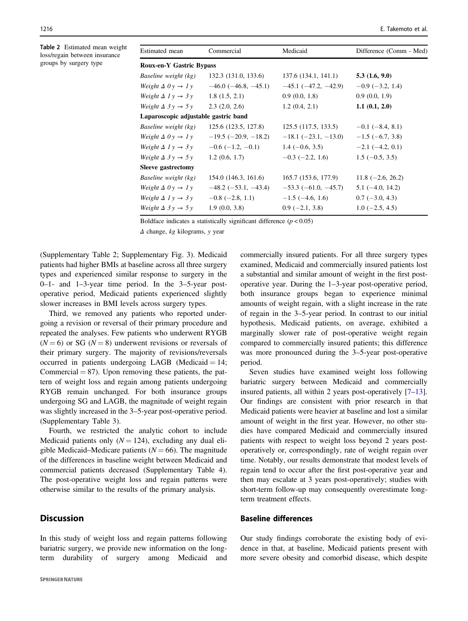<span id="page-5-0"></span>Table 2 Estimated mean weight loss/regain between insurance groups by surgery type

| Estimated mean                         | Commercial                    | Medicaid                      | Difference (Comm - Med) |
|----------------------------------------|-------------------------------|-------------------------------|-------------------------|
| <b>Roux-en-Y Gastric Bypass</b>        |                               |                               |                         |
| Baseline weight (kg)                   | 132.3 (131.0, 133.6)          | 137.6 (134.1, 141.1)          | 5.3(1.6, 9.0)           |
| Weight $\Delta$ $0y \rightarrow 1y$    | $-46.0$ ( $-46.8$ , $-45.1$ ) | $-45.1$ ( $-47.2$ , $-42.9$ ) | $-0.9$ ( $-3.2$ , 1.4)  |
| Weight $\Delta$ 1 y $\rightarrow$ 3 y  | 1.8(1.5, 2.1)                 | 0.9(0.0, 1.8)                 | 0.9(0.0, 1.9)           |
| Weight $\Delta$ 3 y $\rightarrow$ 5 y  | 2.3(2.0, 2.6)                 | 1.2(0.4, 2.1)                 | $1.1 \; (0.1, 2.0)$     |
| Laparoscopic adjustable gastric band   |                               |                               |                         |
| Baseline weight (kg)                   | 125.6 (123.5, 127.8)          | 125.5 (117.5, 133.5)          | $-0.1$ (-8.4, 8.1)      |
| Weight $\Delta$ 0 y $\rightarrow$ 1 y  | $-19.5$ ( $-20.9, -18.2$ )    | $-18.1$ ( $-23.1$ , $-13.0$ ) | $-1.5$ (-6.7, 3.8)      |
| Weight $\Delta$ $I$ $y \rightarrow 3y$ | $-0.6$ ( $-1.2, -0.1$ )       | $1.4(-0.6, 3.5)$              | $-2.1$ ( $-4.2$ , 0.1)  |
| Weight $\Delta$ 3 y $\rightarrow$ 5 y  | 1.2(0.6, 1.7)                 | $-0.3$ ( $-2.2$ , 1.6)        | $1.5(-0.5, 3.5)$        |
| Sleeve gastrectomy                     |                               |                               |                         |
| Baseline weight (kg)                   | 154.0 (146.3, 161.6)          | 165.7 (153.6, 177.9)          | $11.8 (-2.6, 26.2)$     |
| Weight $\Delta$ 0 y $\rightarrow$ 1 y  | $-48.2$ ( $-53.1, -43.4$ )    | $-53.3$ ( $-61.0, -45.7$ )    | $5.1(-4.0, 14.2)$       |
| Weight $\Delta$ 1 y $\rightarrow$ 3 y  | $-0.8$ ( $-2.8$ , 1.1)        | $-1.5$ ( $-4.6$ , 1.6)        | $0.7(-3.0, 4.3)$        |
| Weight $\Delta$ 3 y $\rightarrow$ 5 y  | 1.9(0.0, 3.8)                 | $0.9$ (-2.1, 3.8)             | $1.0$ (-2.5, 4.5)       |

Boldface indicates a statistically significant difference  $(p < 0.05)$ 

<sup>Δ</sup> change, kg kilograms, y year

(Supplementary Table 2; Supplementary Fig. 3). Medicaid patients had higher BMIs at baseline across all three surgery types and experienced similar response to surgery in the 0–1- and 1–3-year time period. In the 3–5-year postoperative period, Medicaid patients experienced slightly slower increases in BMI levels across surgery types.

Third, we removed any patients who reported undergoing a revision or reversal of their primary procedure and repeated the analyses. Few patients who underwent RYGB  $(N = 6)$  or SG  $(N = 8)$  underwent revisions or reversals of their primary surgery. The majority of revisions/reversals occurred in patients undergoing LAGB (Medicaid  $= 14$ ; Commercial  $= 87$ ). Upon removing these patients, the pattern of weight loss and regain among patients undergoing RYGB remain unchanged. For both insurance groups undergoing SG and LAGB, the magnitude of weight regain was slightly increased in the 3–5-year post-operative period. (Supplementary Table 3).

Fourth, we restricted the analytic cohort to include Medicaid patients only  $(N = 124)$ , excluding any dual eligible Medicaid–Medicare patients ( $N = 66$ ). The magnitude of the differences in baseline weight between Medicaid and commercial patients decreased (Supplementary Table 4). The post-operative weight loss and regain patterns were otherwise similar to the results of the primary analysis.

# **Discussion**

In this study of weight loss and regain patterns following bariatric surgery, we provide new information on the longterm durability of surgery among Medicaid and commercially insured patients. For all three surgery types examined, Medicaid and commercially insured patients lost a substantial and similar amount of weight in the first postoperative year. During the 1–3-year post-operative period, both insurance groups began to experience minimal amounts of weight regain, with a slight increase in the rate of regain in the 3–5-year period. In contrast to our initial hypothesis, Medicaid patients, on average, exhibited a marginally slower rate of post-operative weight regain compared to commercially insured patients; this difference was more pronounced during the 3–5-year post-operative period.

Seven studies have examined weight loss following bariatric surgery between Medicaid and commercially insured patients, all within 2 years post-operatively [[7](#page-8-0)–[13\]](#page-8-0). Our findings are consistent with prior research in that Medicaid patients were heavier at baseline and lost a similar amount of weight in the first year. However, no other studies have compared Medicaid and commercially insured patients with respect to weight loss beyond 2 years postoperatively or, correspondingly, rate of weight regain over time. Notably, our results demonstrate that modest levels of regain tend to occur after the first post-operative year and then may escalate at 3 years post-operatively; studies with short-term follow-up may consequently overestimate longterm treatment effects.

# Baseline differences

Our study findings corroborate the existing body of evidence in that, at baseline, Medicaid patients present with more severe obesity and comorbid disease, which despite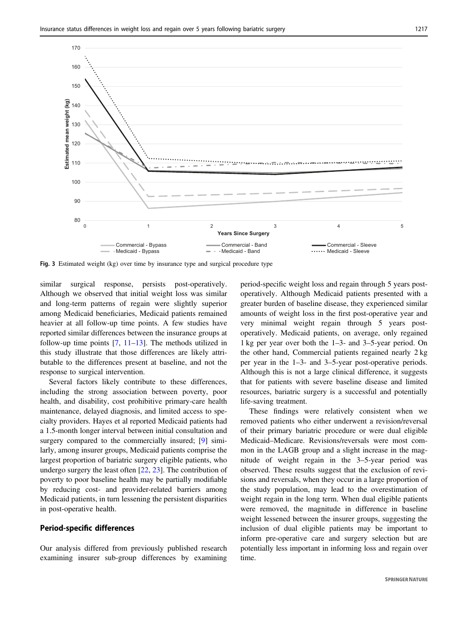<span id="page-6-0"></span>

Fig. 3 Estimated weight (kg) over time by insurance type and surgical procedure type

similar surgical response, persists post-operatively. Although we observed that initial weight loss was similar and long-term patterns of regain were slightly superior among Medicaid beneficiaries, Medicaid patients remained heavier at all follow-up time points. A few studies have reported similar differences between the insurance groups at follow-up time points  $[7, 11-13]$  $[7, 11-13]$  $[7, 11-13]$  $[7, 11-13]$  $[7, 11-13]$  $[7, 11-13]$ . The methods utilized in this study illustrate that those differences are likely attributable to the differences present at baseline, and not the response to surgical intervention.

Several factors likely contribute to these differences, including the strong association between poverty, poor health, and disability, cost prohibitive primary-care health maintenance, delayed diagnosis, and limited access to specialty providers. Hayes et al reported Medicaid patients had a 1.5-month longer interval between initial consultation and surgery compared to the commercially insured; [\[9](#page-8-0)] similarly, among insurer groups, Medicaid patients comprise the largest proportion of bariatric surgery eligible patients, who undergo surgery the least often [\[22](#page-9-0), [23](#page-9-0)]. The contribution of poverty to poor baseline health may be partially modifiable by reducing cost- and provider-related barriers among Medicaid patients, in turn lessening the persistent disparities in post-operative health.

## Period-specific differences

Our analysis differed from previously published research examining insurer sub-group differences by examining period-specific weight loss and regain through 5 years postoperatively. Although Medicaid patients presented with a greater burden of baseline disease, they experienced similar amounts of weight loss in the first post-operative year and very minimal weight regain through 5 years postoperatively. Medicaid patients, on average, only regained 1 kg per year over both the 1–3- and 3–5-year period. On the other hand, Commercial patients regained nearly 2 kg per year in the 1–3- and 3–5-year post-operative periods. Although this is not a large clinical difference, it suggests that for patients with severe baseline disease and limited resources, bariatric surgery is a successful and potentially life-saving treatment.

These findings were relatively consistent when we removed patients who either underwent a revision/reversal of their primary bariatric procedure or were dual eligible Medicaid–Medicare. Revisions/reversals were most common in the LAGB group and a slight increase in the magnitude of weight regain in the 3–5-year period was observed. These results suggest that the exclusion of revisions and reversals, when they occur in a large proportion of the study population, may lead to the overestimation of weight regain in the long term. When dual eligible patients were removed, the magnitude in difference in baseline weight lessened between the insurer groups, suggesting the inclusion of dual eligible patients may be important to inform pre-operative care and surgery selection but are potentially less important in informing loss and regain over time.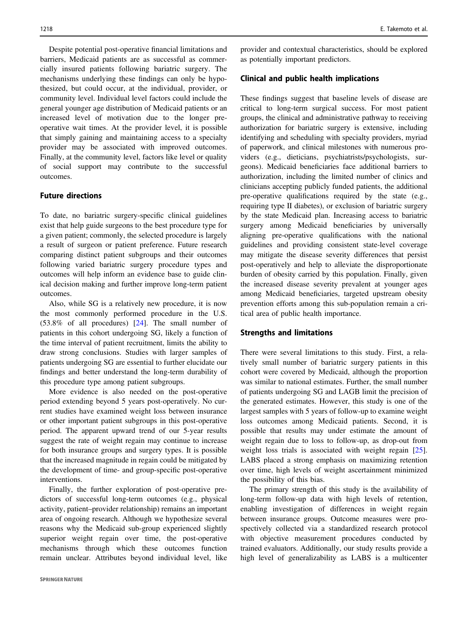Despite potential post-operative financial limitations and barriers, Medicaid patients are as successful as commercially insured patients following bariatric surgery. The mechanisms underlying these findings can only be hypothesized, but could occur, at the individual, provider, or community level. Individual level factors could include the general younger age distribution of Medicaid patients or an increased level of motivation due to the longer preoperative wait times. At the provider level, it is possible that simply gaining and maintaining access to a specialty provider may be associated with improved outcomes. Finally, at the community level, factors like level or quality of social support may contribute to the successful outcomes.

## Future directions

To date, no bariatric surgery-specific clinical guidelines exist that help guide surgeons to the best procedure type for a given patient; commonly, the selected procedure is largely a result of surgeon or patient preference. Future research comparing distinct patient subgroups and their outcomes following varied bariatric surgery procedure types and outcomes will help inform an evidence base to guide clinical decision making and further improve long-term patient outcomes.

Also, while SG is a relatively new procedure, it is now the most commonly performed procedure in the U.S. (53.8% of all procedures) [[24\]](#page-9-0). The small number of patients in this cohort undergoing SG, likely a function of the time interval of patient recruitment, limits the ability to draw strong conclusions. Studies with larger samples of patients undergoing SG are essential to further elucidate our findings and better understand the long-term durability of this procedure type among patient subgroups.

More evidence is also needed on the post-operative period extending beyond 5 years post-operatively. No current studies have examined weight loss between insurance or other important patient subgroups in this post-operative period. The apparent upward trend of our 5-year results suggest the rate of weight regain may continue to increase for both insurance groups and surgery types. It is possible that the increased magnitude in regain could be mitigated by the development of time- and group-specific post-operative interventions.

Finally, the further exploration of post-operative predictors of successful long-term outcomes (e.g., physical activity, patient–provider relationship) remains an important area of ongoing research. Although we hypothesize several reasons why the Medicaid sub-group experienced slightly superior weight regain over time, the post-operative mechanisms through which these outcomes function remain unclear. Attributes beyond individual level, like

provider and contextual characteristics, should be explored as potentially important predictors.

#### Clinical and public health implications

These findings suggest that baseline levels of disease are critical to long-term surgical success. For most patient groups, the clinical and administrative pathway to receiving authorization for bariatric surgery is extensive, including identifying and scheduling with specialty providers, myriad of paperwork, and clinical milestones with numerous providers (e.g., dieticians, psychiatrists/psychologists, surgeons). Medicaid beneficiaries face additional barriers to authorization, including the limited number of clinics and clinicians accepting publicly funded patients, the additional pre-operative qualifications required by the state (e.g., requiring type II diabetes), or exclusion of bariatric surgery by the state Medicaid plan. Increasing access to bariatric surgery among Medicaid beneficiaries by universally aligning pre-operative qualifications with the national guidelines and providing consistent state-level coverage may mitigate the disease severity differences that persist post-operatively and help to alleviate the disproportionate burden of obesity carried by this population. Finally, given the increased disease severity prevalent at younger ages among Medicaid beneficiaries, targeted upstream obesity prevention efforts among this sub-population remain a critical area of public health importance.

## Strengths and limitations

There were several limitations to this study. First, a relatively small number of bariatric surgery patients in this cohort were covered by Medicaid, although the proportion was similar to national estimates. Further, the small number of patients undergoing SG and LAGB limit the precision of the generated estimates. However, this study is one of the largest samples with 5 years of follow-up to examine weight loss outcomes among Medicaid patients. Second, it is possible that results may under estimate the amount of weight regain due to loss to follow-up, as drop-out from weight loss trials is associated with weight regain [[25\]](#page-9-0). LABS placed a strong emphasis on maximizing retention over time, high levels of weight ascertainment minimized the possibility of this bias.

The primary strength of this study is the availability of long-term follow-up data with high levels of retention, enabling investigation of differences in weight regain between insurance groups. Outcome measures were prospectively collected via a standardized research protocol with objective measurement procedures conducted by trained evaluators. Additionally, our study results provide a high level of generalizability as LABS is a multicenter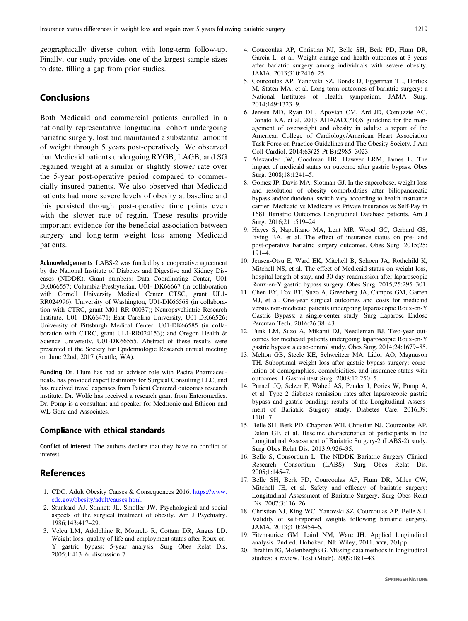<span id="page-8-0"></span>geographically diverse cohort with long-term follow-up. Finally, our study provides one of the largest sample sizes to date, filling a gap from prior studies.

## Conclusions

Both Medicaid and commercial patients enrolled in a nationally representative longitudinal cohort undergoing bariatric surgery, lost and maintained a substantial amount of weight through 5 years post-operatively. We observed that Medicaid patients undergoing RYGB, LAGB, and SG regained weight at a similar or slightly slower rate over the 5-year post-operative period compared to commercially insured patients. We also observed that Medicaid patients had more severe levels of obesity at baseline and this persisted through post-operative time points even with the slower rate of regain. These results provide important evidence for the beneficial association between surgery and long-term weight loss among Medicaid patients.

Acknowledgements LABS-2 was funded by a cooperative agreement by the National Institute of Diabetes and Digestive and Kidney Diseases (NIDDK). Grant numbers: Data Coordinating Center, U01 DK066557; Columbia-Presbyterian, U01- DK66667 (in collaboration with Cornell University Medical Center CTSC, grant UL1- RR024996); University of Washington, U01-DK66568 (in collaboration with CTRC, grant M01 RR-00037); Neuropsychiatric Research Institute, U01- DK66471; East Carolina University, U01-DK66526; University of Pittsburgh Medical Center, U01-DK66585 (in collaboration with CTRC, grant UL1-RR024153); and Oregon Health & Science University, U01-DK66555. Abstract of these results were presented at the Society for Epidemiologic Research annual meeting on June 22nd, 2017 (Seattle, WA).

Funding Dr. Flum has had an advisor role with Pacira Pharmaceuticals, has provided expert testimony for Surgical Consulting LLC, and has received travel expenses from Patient Centered outcomes research institute. Dr. Wolfe has received a research grant from Enteromedics. Dr. Pomp is a consultant and speaker for Medtronic and Ethicon and WL Gore and Associates.

## Compliance with ethical standards

Conflict of interest The authors declare that they have no conflict of interest.

## References

- 1. CDC. Adult Obesity Causes & Consequences 2016. [https://www.](https://www.cdc.gov/obesity/adult/causes.html) [cdc.gov/obesity/adult/causes.html.](https://www.cdc.gov/obesity/adult/causes.html)
- 2. Stunkard AJ, Stinnett JL, Smoller JW. Psychological and social aspects of the surgical treatment of obesity. Am J Psychiatry. 1986;143:417–29.
- 3. Velcu LM, Adolphine R, Mourelo R, Cottam DR, Angus LD. Weight loss, quality of life and employment status after Roux-en-Y gastric bypass: 5-year analysis. Surg Obes Relat Dis. 2005;1:413–6. discussion 7
- 4. Courcoulas AP, Christian NJ, Belle SH, Berk PD, Flum DR, Garcia L, et al. Weight change and health outcomes at 3 years after bariatric surgery among individuals with severe obesity. JAMA. 2013;310:2416–25.
- 5. Courcoulas AP, Yanovski SZ, Bonds D, Eggerman TL, Horlick M, Staten MA, et al. Long-term outcomes of bariatric surgery: a National Institutes of Health symposium. JAMA Surg. 2014;149:1323–9.
- 6. Jensen MD, Ryan DH, Apovian CM, Ard JD, Comuzzie AG, Donato KA, et al. 2013 AHA/ACC/TOS guideline for the management of overweight and obesity in adults: a report of the American College of Cardiology/American Heart Association Task Force on Practice Guidelines and The Obesity Society. J Am Coll Cardiol. 2014;63(25 Pt B):2985–3023.
- 7. Alexander JW, Goodman HR, Hawver LRM, James L. The impact of medicaid status on outcome after gastric bypass. Obes Surg. 2008;18:1241–5.
- 8. Gomez JP, Davis MA, Slotman GJ. In the superobese, weight loss and resolution of obesity comorbidities after biliopancreatic bypass and/or duodenal switch vary according to health insurance carrier: Medicaid vs Medicare vs Private insurance vs Self-Pay in 1681 Bariatric Outcomes Longitudinal Database patients. Am J Surg. 2016;211:519–24.
- 9. Hayes S, Napolitano MA, Lent MR, Wood GC, Gerhard GS, Irving BA, et al. The effect of insurance status on pre- and post-operative bariatric surgery outcomes. Obes Surg. 2015;25: 191–4.
- 10. Jensen-Otsu E, Ward EK, Mitchell B, Schoen JA, Rothchild K, Mitchell NS, et al. The effect of Medicaid status on weight loss, hospital length of stay, and 30-day readmission after laparoscopic Roux-en-Y gastric bypass surgery. Obes Surg. 2015;25:295–301.
- 11. Chen EY, Fox BT, Suzo A, Greenberg JA, Campos GM, Garren MJ, et al. One-year surgical outcomes and costs for medicaid versus non-medicaid patients undergoing laparoscopic Roux-en-Y Gastric Bypass: a single-center study. Surg Laparosc Endosc Percutan Tech. 2016;26:38–43.
- 12. Funk LM, Suzo A, Mikami DJ, Needleman BJ. Two-year outcomes for medicaid patients undergoing laparoscopic Roux-en-Y gastric bypass: a case-control study. Obes Surg. 2014;24:1679–85.
- 13. Melton GB, Steele KE, Schweitzer MA, Lidor AO, Magnuson TH. Suboptimal weight loss after gastric bypass surgery: correlation of demographics, comorbidities, and insurance status with outcomes. J Gastrointest Surg. 2008;12:250–5.
- 14. Purnell JQ, Selzer F, Wahed AS, Pender J, Pories W, Pomp A, et al. Type 2 diabetes remission rates after laparoscopic gastric bypass and gastric banding: results of the Longitudinal Assessment of Bariatric Surgery study. Diabetes Care. 2016;39: 1101–7.
- 15. Belle SH, Berk PD, Chapman WH, Christian NJ, Courcoulas AP, Dakin GF, et al. Baseline characteristics of participants in the Longitudinal Assessment of Bariatric Surgery-2 (LABS-2) study. Surg Obes Relat Dis. 2013;9:926–35.
- 16. Belle S, Consortium L. The NIDDK Bariatric Surgery Clinical Research Consortium (LABS). Surg Obes Relat Dis. 2005;1:145–7.
- 17. Belle SH, Berk PD, Courcoulas AP, Flum DR, Miles CW, Mitchell JE, et al. Safety and efficacy of bariatric surgery: Longitudinal Assessment of Bariatric Surgery. Surg Obes Relat Dis. 2007;3:116–26.
- 18. Christian NJ, King WC, Yanovski SZ, Courcoulas AP, Belle SH. Validity of self-reported weights following bariatric surgery. JAMA. 2013;310:2454–6.
- 19. Fitzmaurice GM, Laird NM, Ware JH. Applied longitudinal analysis. 2nd ed. Hoboken, NJ: Wiley; 2011. xxv, 701pp.
- 20. Ibrahim JG, Molenberghs G. Missing data methods in longitudinal studies: a review. Test (Madr). 2009;18:1–43.